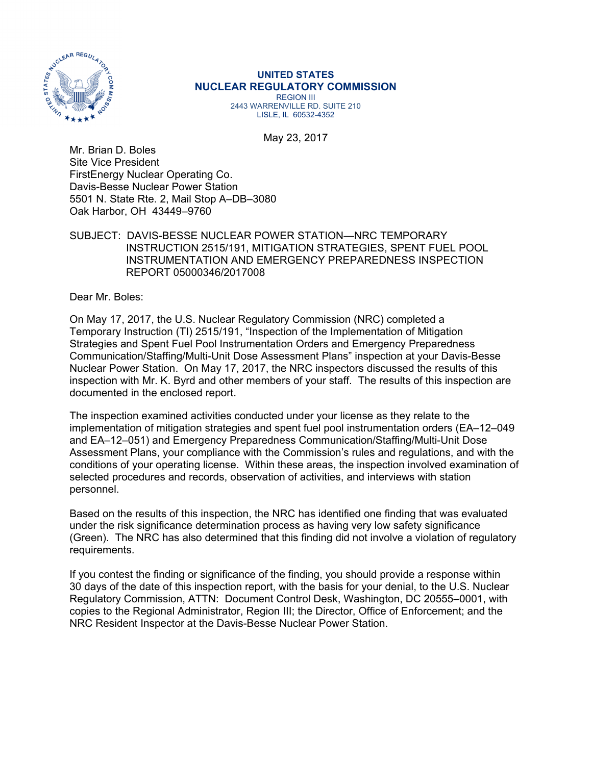

## **UNITED STATES NUCLEAR REGULATORY COMMISSION**  REGION III

2443 WARRENVILLE RD. SUITE 210 LISLE, IL 60532-4352

May 23, 2017

Mr. Brian D. Boles Site Vice President FirstEnergy Nuclear Operating Co. Davis-Besse Nuclear Power Station 5501 N. State Rte. 2, Mail Stop A–DB–3080 Oak Harbor, OH 43449–9760

### SUBJECT: DAVIS-BESSE NUCLEAR POWER STATION—NRC TEMPORARY INSTRUCTION 2515/191, MITIGATION STRATEGIES, SPENT FUEL POOL INSTRUMENTATION AND EMERGENCY PREPAREDNESS INSPECTION REPORT 05000346/2017008

Dear Mr. Boles:

On May 17, 2017, the U.S. Nuclear Regulatory Commission (NRC) completed a Temporary Instruction (TI) 2515/191, "Inspection of the Implementation of Mitigation Strategies and Spent Fuel Pool Instrumentation Orders and Emergency Preparedness Communication/Staffing/Multi-Unit Dose Assessment Plans" inspection at your Davis-Besse Nuclear Power Station. On May 17, 2017, the NRC inspectors discussed the results of this inspection with Mr. K. Byrd and other members of your staff. The results of this inspection are documented in the enclosed report.

The inspection examined activities conducted under your license as they relate to the implementation of mitigation strategies and spent fuel pool instrumentation orders (EA–12–049 and EA–12–051) and Emergency Preparedness Communication/Staffing/Multi-Unit Dose Assessment Plans, your compliance with the Commission's rules and regulations, and with the conditions of your operating license. Within these areas, the inspection involved examination of selected procedures and records, observation of activities, and interviews with station personnel.

Based on the results of this inspection, the NRC has identified one finding that was evaluated under the risk significance determination process as having very low safety significance (Green). The NRC has also determined that this finding did not involve a violation of regulatory requirements.

If you contest the finding or significance of the finding, you should provide a response within 30 days of the date of this inspection report, with the basis for your denial, to the U.S. Nuclear Regulatory Commission, ATTN: Document Control Desk, Washington, DC 20555–0001, with copies to the Regional Administrator, Region III; the Director, Office of Enforcement; and the NRC Resident Inspector at the Davis-Besse Nuclear Power Station.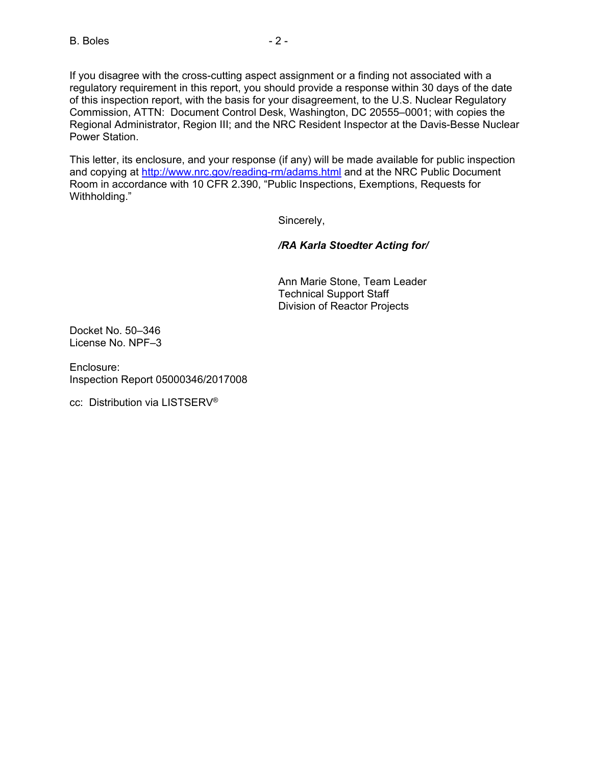If you disagree with the cross-cutting aspect assignment or a finding not associated with a regulatory requirement in this report, you should provide a response within 30 days of the date of this inspection report, with the basis for your disagreement, to the U.S. Nuclear Regulatory Commission, ATTN: Document Control Desk, Washington, DC 20555–0001; with copies the Regional Administrator, Region III; and the NRC Resident Inspector at the Davis-Besse Nuclear Power Station.

This letter, its enclosure, and your response (if any) will be made available for public inspection and copying at http://www.nrc.gov/reading-rm/adams.html and at the NRC Public Document Room in accordance with 10 CFR 2.390, "Public Inspections, Exemptions, Requests for Withholding."

Sincerely,

## */RA Karla Stoedter Acting for/*

Ann Marie Stone, Team Leader Technical Support Staff Division of Reactor Projects

Docket No. 50–346 License No. NPF–3

Enclosure: Inspection Report 05000346/2017008

cc: Distribution via LISTSERV®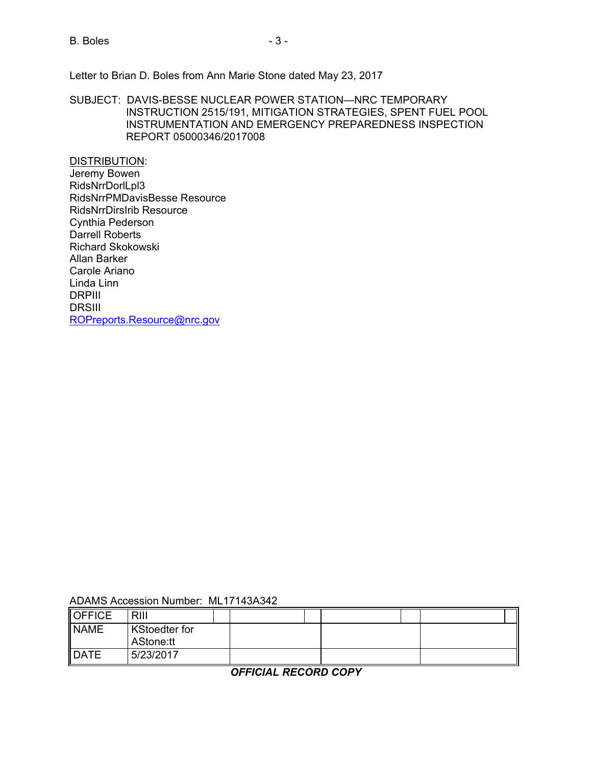B. Boles - 3 -

Letter to Brian D. Boles from Ann Marie Stone dated May 23, 2017

SUBJECT: DAVIS-BESSE NUCLEAR POWER STATION—NRC TEMPORARY INSTRUCTION 2515/191, MITIGATION STRATEGIES, SPENT FUEL POOL INSTRUMENTATION AND EMERGENCY PREPAREDNESS INSPECTION REPORT 05000346/2017008

DISTRIBUTION: Jeremy Bowen RidsNrrDorlLpl3 RidsNrrPMDavisBesse Resource RidsNrrDirsIrib Resource Cynthia Pederson Darrell Roberts Richard Skokowski Allan Barker Carole Ariano Linda Linn DRPIII DRSIII ROPreports.Resource@nrc.gov

### ADAMS Accession Number: ML17143A342

| OFFICE      | <b>RIII</b>                       |  |  |  |  |
|-------------|-----------------------------------|--|--|--|--|
| <b>NAME</b> | <b>KStoedter for</b><br>AStone:tt |  |  |  |  |
| <b>DATE</b> | 5/23/2017                         |  |  |  |  |

*OFFICIAL RECORD COPY*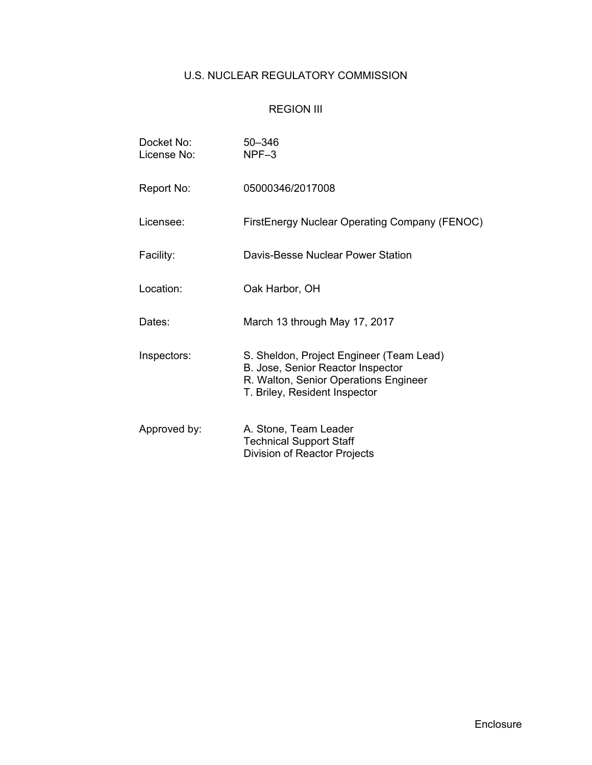# U.S. NUCLEAR REGULATORY COMMISSION

# REGION III

| Docket No:<br>License No: | 50-346<br>$NPF-3$                                                                                                                                       |
|---------------------------|---------------------------------------------------------------------------------------------------------------------------------------------------------|
| Report No:                | 05000346/2017008                                                                                                                                        |
| Licensee:                 | FirstEnergy Nuclear Operating Company (FENOC)                                                                                                           |
| Facility:                 | Davis-Besse Nuclear Power Station                                                                                                                       |
| Location:                 | Oak Harbor, OH                                                                                                                                          |
| Dates:                    | March 13 through May 17, 2017                                                                                                                           |
| Inspectors:               | S. Sheldon, Project Engineer (Team Lead)<br>B. Jose, Senior Reactor Inspector<br>R. Walton, Senior Operations Engineer<br>T. Briley, Resident Inspector |
| Approved by:              | A. Stone, Team Leader<br><b>Technical Support Staff</b><br>Division of Reactor Projects                                                                 |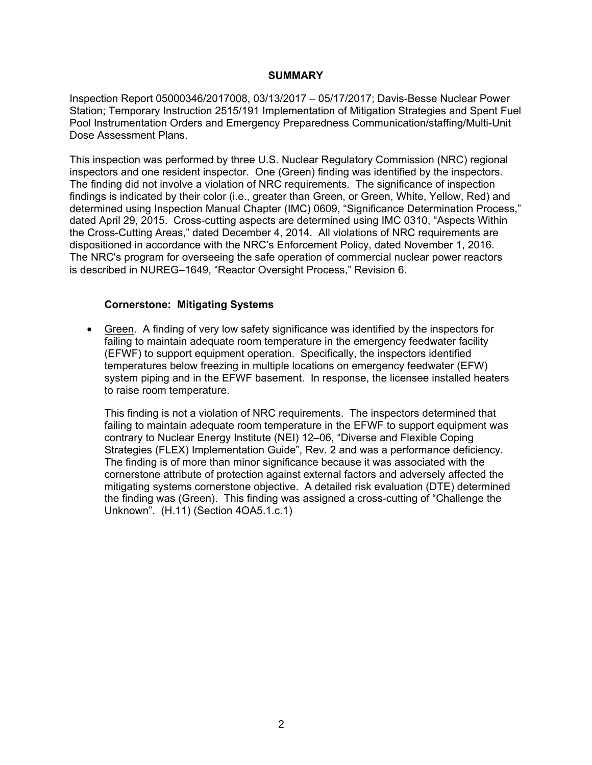### **SUMMARY**

Inspection Report 05000346/2017008, 03/13/2017 – 05/17/2017; Davis-Besse Nuclear Power Station; Temporary Instruction 2515/191 Implementation of Mitigation Strategies and Spent Fuel Pool Instrumentation Orders and Emergency Preparedness Communication/staffing/Multi-Unit Dose Assessment Plans.

This inspection was performed by three U.S. Nuclear Regulatory Commission (NRC) regional inspectors and one resident inspector. One (Green) finding was identified by the inspectors. The finding did not involve a violation of NRC requirements. The significance of inspection findings is indicated by their color (i.e., greater than Green, or Green, White, Yellow, Red) and determined using Inspection Manual Chapter (IMC) 0609, "Significance Determination Process," dated April 29, 2015. Cross-cutting aspects are determined using IMC 0310, "Aspects Within the Cross-Cutting Areas," dated December 4, 2014. All violations of NRC requirements are dispositioned in accordance with the NRC's Enforcement Policy, dated November 1, 2016. The NRC's program for overseeing the safe operation of commercial nuclear power reactors is described in NUREG–1649, "Reactor Oversight Process," Revision 6.

### **Cornerstone: Mitigating Systems**

• Green. A finding of very low safety significance was identified by the inspectors for failing to maintain adequate room temperature in the emergency feedwater facility (EFWF) to support equipment operation. Specifically, the inspectors identified temperatures below freezing in multiple locations on emergency feedwater (EFW) system piping and in the EFWF basement. In response, the licensee installed heaters to raise room temperature.

This finding is not a violation of NRC requirements. The inspectors determined that failing to maintain adequate room temperature in the EFWF to support equipment was contrary to Nuclear Energy Institute (NEI) 12–06, "Diverse and Flexible Coping Strategies (FLEX) Implementation Guide", Rev. 2 and was a performance deficiency. The finding is of more than minor significance because it was associated with the cornerstone attribute of protection against external factors and adversely affected the mitigating systems cornerstone objective. A detailed risk evaluation (DTE) determined the finding was (Green). This finding was assigned a cross-cutting of "Challenge the Unknown". (H.11) (Section 4OA5.1.c.1)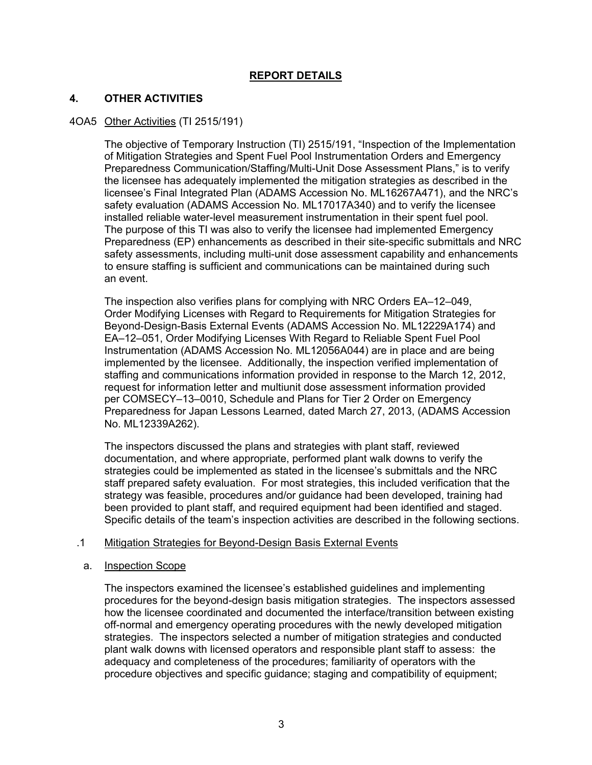## **REPORT DETAILS**

## **4. OTHER ACTIVITIES**

### 4OA5 Other Activities (TI 2515/191)

The objective of Temporary Instruction (TI) 2515/191, "Inspection of the Implementation of Mitigation Strategies and Spent Fuel Pool Instrumentation Orders and Emergency Preparedness Communication/Staffing/Multi-Unit Dose Assessment Plans," is to verify the licensee has adequately implemented the mitigation strategies as described in the licensee's Final Integrated Plan (ADAMS Accession No. ML16267A471), and the NRC's safety evaluation (ADAMS Accession No. ML17017A340) and to verify the licensee installed reliable water-level measurement instrumentation in their spent fuel pool. The purpose of this TI was also to verify the licensee had implemented Emergency Preparedness (EP) enhancements as described in their site-specific submittals and NRC safety assessments, including multi-unit dose assessment capability and enhancements to ensure staffing is sufficient and communications can be maintained during such an event.

The inspection also verifies plans for complying with NRC Orders EA–12–049, Order Modifying Licenses with Regard to Requirements for Mitigation Strategies for Beyond-Design-Basis External Events (ADAMS Accession No. ML12229A174) and EA–12–051, Order Modifying Licenses With Regard to Reliable Spent Fuel Pool Instrumentation (ADAMS Accession No. ML12056A044) are in place and are being implemented by the licensee. Additionally, the inspection verified implementation of staffing and communications information provided in response to the March 12, 2012, request for information letter and multiunit dose assessment information provided per COMSECY–13–0010, Schedule and Plans for Tier 2 Order on Emergency Preparedness for Japan Lessons Learned, dated March 27, 2013, (ADAMS Accession No. ML12339A262).

The inspectors discussed the plans and strategies with plant staff, reviewed documentation, and where appropriate, performed plant walk downs to verify the strategies could be implemented as stated in the licensee's submittals and the NRC staff prepared safety evaluation. For most strategies, this included verification that the strategy was feasible, procedures and/or guidance had been developed, training had been provided to plant staff, and required equipment had been identified and staged. Specific details of the team's inspection activities are described in the following sections.

### .1 Mitigation Strategies for Beyond-Design Basis External Events

### a. Inspection Scope

The inspectors examined the licensee's established guidelines and implementing procedures for the beyond-design basis mitigation strategies. The inspectors assessed how the licensee coordinated and documented the interface/transition between existing off-normal and emergency operating procedures with the newly developed mitigation strategies. The inspectors selected a number of mitigation strategies and conducted plant walk downs with licensed operators and responsible plant staff to assess: the adequacy and completeness of the procedures; familiarity of operators with the procedure objectives and specific guidance; staging and compatibility of equipment;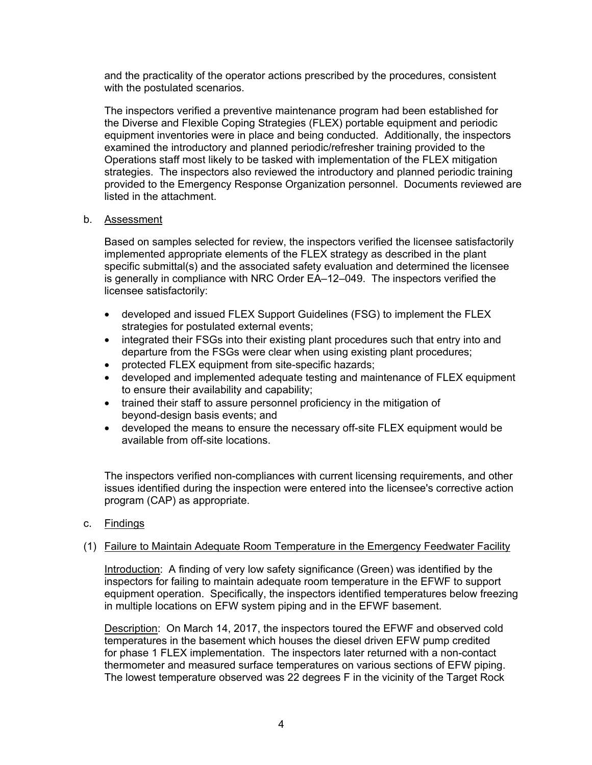and the practicality of the operator actions prescribed by the procedures, consistent with the postulated scenarios.

The inspectors verified a preventive maintenance program had been established for the Diverse and Flexible Coping Strategies (FLEX) portable equipment and periodic equipment inventories were in place and being conducted. Additionally, the inspectors examined the introductory and planned periodic/refresher training provided to the Operations staff most likely to be tasked with implementation of the FLEX mitigation strategies. The inspectors also reviewed the introductory and planned periodic training provided to the Emergency Response Organization personnel. Documents reviewed are listed in the attachment.

### b. Assessment

Based on samples selected for review, the inspectors verified the licensee satisfactorily implemented appropriate elements of the FLEX strategy as described in the plant specific submittal(s) and the associated safety evaluation and determined the licensee is generally in compliance with NRC Order EA–12–049. The inspectors verified the licensee satisfactorily:

- developed and issued FLEX Support Guidelines (FSG) to implement the FLEX strategies for postulated external events;
- integrated their FSGs into their existing plant procedures such that entry into and departure from the FSGs were clear when using existing plant procedures;
- protected FLEX equipment from site-specific hazards;
- developed and implemented adequate testing and maintenance of FLEX equipment to ensure their availability and capability;
- trained their staff to assure personnel proficiency in the mitigation of beyond-design basis events; and
- developed the means to ensure the necessary off-site FLEX equipment would be available from off-site locations.

The inspectors verified non-compliances with current licensing requirements, and other issues identified during the inspection were entered into the licensee's corrective action program (CAP) as appropriate.

c. Findings

## (1) Failure to Maintain Adequate Room Temperature in the Emergency Feedwater Facility

Introduction: A finding of very low safety significance (Green) was identified by the inspectors for failing to maintain adequate room temperature in the EFWF to support equipment operation. Specifically, the inspectors identified temperatures below freezing in multiple locations on EFW system piping and in the EFWF basement.

Description: On March 14, 2017, the inspectors toured the EFWF and observed cold temperatures in the basement which houses the diesel driven EFW pump credited for phase 1 FLEX implementation. The inspectors later returned with a non-contact thermometer and measured surface temperatures on various sections of EFW piping. The lowest temperature observed was 22 degrees F in the vicinity of the Target Rock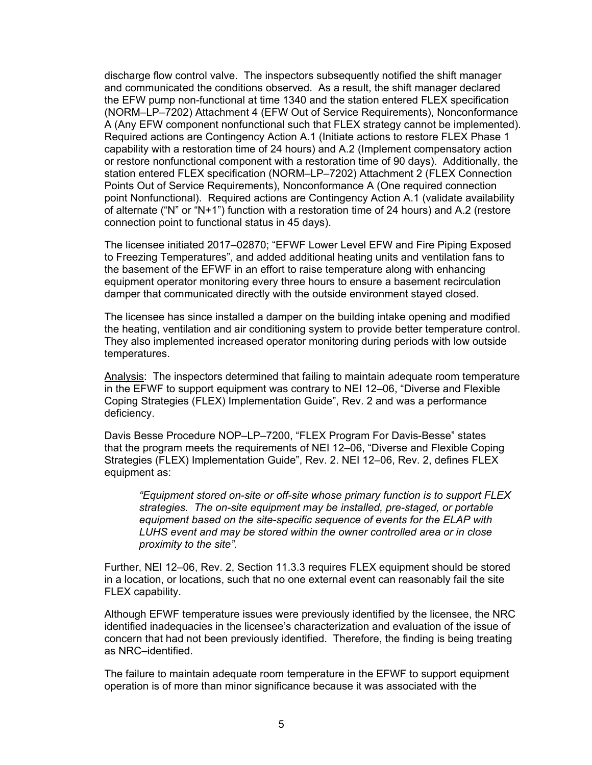discharge flow control valve. The inspectors subsequently notified the shift manager and communicated the conditions observed. As a result, the shift manager declared the EFW pump non-functional at time 1340 and the station entered FLEX specification (NORM–LP–7202) Attachment 4 (EFW Out of Service Requirements), Nonconformance A (Any EFW component nonfunctional such that FLEX strategy cannot be implemented). Required actions are Contingency Action A.1 (Initiate actions to restore FLEX Phase 1 capability with a restoration time of 24 hours) and A.2 (Implement compensatory action or restore nonfunctional component with a restoration time of 90 days). Additionally, the station entered FLEX specification (NORM–LP–7202) Attachment 2 (FLEX Connection Points Out of Service Requirements), Nonconformance A (One required connection point Nonfunctional). Required actions are Contingency Action A.1 (validate availability of alternate ("N" or "N+1") function with a restoration time of 24 hours) and A.2 (restore connection point to functional status in 45 days).

The licensee initiated 2017–02870; "EFWF Lower Level EFW and Fire Piping Exposed to Freezing Temperatures", and added additional heating units and ventilation fans to the basement of the EFWF in an effort to raise temperature along with enhancing equipment operator monitoring every three hours to ensure a basement recirculation damper that communicated directly with the outside environment stayed closed.

The licensee has since installed a damper on the building intake opening and modified the heating, ventilation and air conditioning system to provide better temperature control. They also implemented increased operator monitoring during periods with low outside temperatures.

Analysis: The inspectors determined that failing to maintain adequate room temperature in the EFWF to support equipment was contrary to NEI 12–06, "Diverse and Flexible Coping Strategies (FLEX) Implementation Guide", Rev. 2 and was a performance deficiency.

Davis Besse Procedure NOP–LP–7200, "FLEX Program For Davis-Besse" states that the program meets the requirements of NEI 12–06, "Diverse and Flexible Coping Strategies (FLEX) Implementation Guide", Rev. 2. NEI 12–06, Rev. 2, defines FLEX equipment as:

*"Equipment stored on-site or off-site whose primary function is to support FLEX strategies. The on-site equipment may be installed, pre-staged, or portable equipment based on the site-specific sequence of events for the ELAP with LUHS event and may be stored within the owner controlled area or in close proximity to the site".* 

Further, NEI 12–06, Rev. 2, Section 11.3.3 requires FLEX equipment should be stored in a location, or locations, such that no one external event can reasonably fail the site FLEX capability.

Although EFWF temperature issues were previously identified by the licensee, the NRC identified inadequacies in the licensee's characterization and evaluation of the issue of concern that had not been previously identified. Therefore, the finding is being treating as NRC–identified.

The failure to maintain adequate room temperature in the EFWF to support equipment operation is of more than minor significance because it was associated with the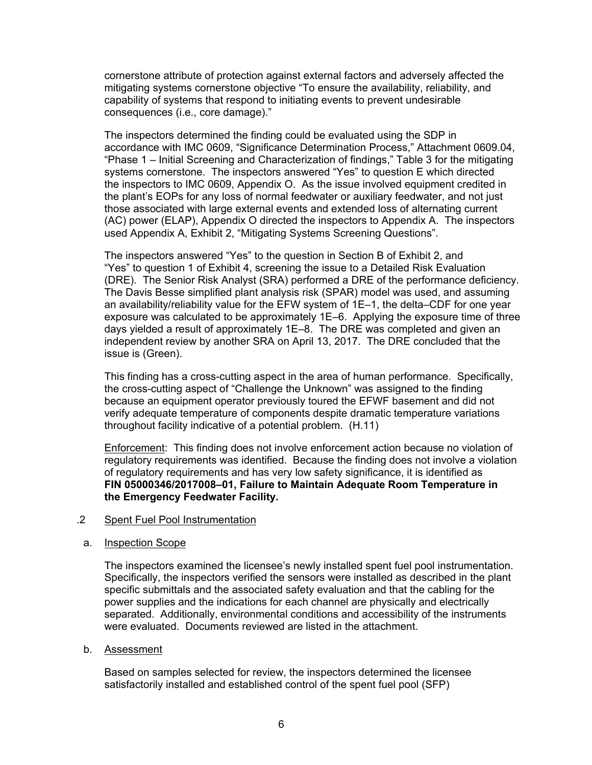cornerstone attribute of protection against external factors and adversely affected the mitigating systems cornerstone objective "To ensure the availability, reliability, and capability of systems that respond to initiating events to prevent undesirable consequences (i.e., core damage)."

The inspectors determined the finding could be evaluated using the SDP in accordance with IMC 0609, "Significance Determination Process," Attachment 0609.04, "Phase 1 – Initial Screening and Characterization of findings," Table 3 for the mitigating systems cornerstone. The inspectors answered "Yes" to question E which directed the inspectors to IMC 0609, Appendix O. As the issue involved equipment credited in the plant's EOPs for any loss of normal feedwater or auxiliary feedwater, and not just those associated with large external events and extended loss of alternating current (AC) power (ELAP), Appendix O directed the inspectors to Appendix A. The inspectors used Appendix A, Exhibit 2, "Mitigating Systems Screening Questions".

The inspectors answered "Yes" to the question in Section B of Exhibit 2, and "Yes" to question 1 of Exhibit 4, screening the issue to a Detailed Risk Evaluation (DRE). The Senior Risk Analyst (SRA) performed a DRE of the performance deficiency. The Davis Besse simplified plant analysis risk (SPAR) model was used, and assuming an availability/reliability value for the EFW system of 1E–1, the delta–CDF for one year exposure was calculated to be approximately 1E–6. Applying the exposure time of three days yielded a result of approximately 1E–8. The DRE was completed and given an independent review by another SRA on April 13, 2017. The DRE concluded that the issue is (Green).

This finding has a cross-cutting aspect in the area of human performance. Specifically, the cross-cutting aspect of "Challenge the Unknown" was assigned to the finding because an equipment operator previously toured the EFWF basement and did not verify adequate temperature of components despite dramatic temperature variations throughout facility indicative of a potential problem. (H.11)

Enforcement: This finding does not involve enforcement action because no violation of regulatory requirements was identified. Because the finding does not involve a violation of regulatory requirements and has very low safety significance, it is identified as **FIN 05000346/2017008–01, Failure to Maintain Adequate Room Temperature in the Emergency Feedwater Facility.**

### .2 Spent Fuel Pool Instrumentation

a. Inspection Scope

The inspectors examined the licensee's newly installed spent fuel pool instrumentation. Specifically, the inspectors verified the sensors were installed as described in the plant specific submittals and the associated safety evaluation and that the cabling for the power supplies and the indications for each channel are physically and electrically separated. Additionally, environmental conditions and accessibility of the instruments were evaluated. Documents reviewed are listed in the attachment.

### b. Assessment

Based on samples selected for review, the inspectors determined the licensee satisfactorily installed and established control of the spent fuel pool (SFP)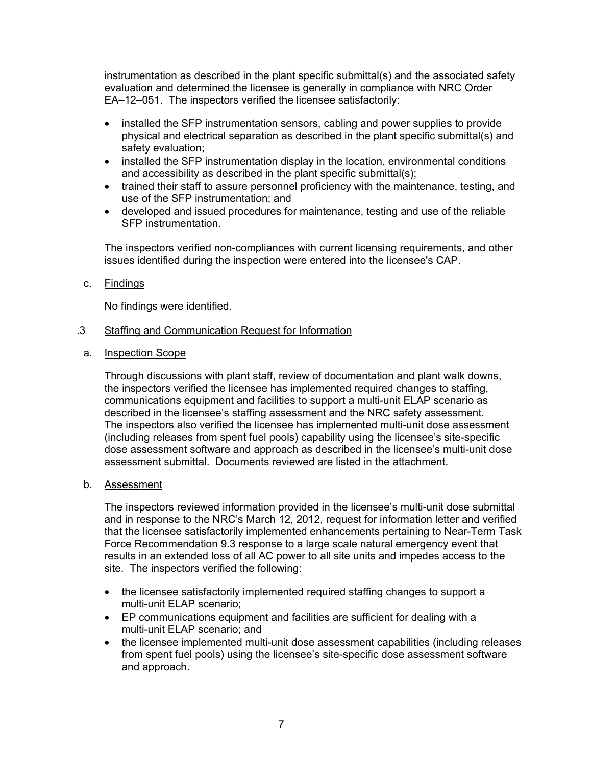instrumentation as described in the plant specific submittal(s) and the associated safety evaluation and determined the licensee is generally in compliance with NRC Order EA–12–051. The inspectors verified the licensee satisfactorily:

- installed the SFP instrumentation sensors, cabling and power supplies to provide physical and electrical separation as described in the plant specific submittal(s) and safety evaluation;
- installed the SFP instrumentation display in the location, environmental conditions and accessibility as described in the plant specific submittal(s);
- trained their staff to assure personnel proficiency with the maintenance, testing, and use of the SFP instrumentation; and
- developed and issued procedures for maintenance, testing and use of the reliable SFP instrumentation.

The inspectors verified non-compliances with current licensing requirements, and other issues identified during the inspection were entered into the licensee's CAP.

c. Findings

No findings were identified.

- .3 Staffing and Communication Request for Information
- a. Inspection Scope

Through discussions with plant staff, review of documentation and plant walk downs, the inspectors verified the licensee has implemented required changes to staffing, communications equipment and facilities to support a multi-unit ELAP scenario as described in the licensee's staffing assessment and the NRC safety assessment. The inspectors also verified the licensee has implemented multi-unit dose assessment (including releases from spent fuel pools) capability using the licensee's site-specific dose assessment software and approach as described in the licensee's multi-unit dose assessment submittal. Documents reviewed are listed in the attachment.

b. Assessment

The inspectors reviewed information provided in the licensee's multi-unit dose submittal and in response to the NRC's March 12, 2012, request for information letter and verified that the licensee satisfactorily implemented enhancements pertaining to Near-Term Task Force Recommendation 9.3 response to a large scale natural emergency event that results in an extended loss of all AC power to all site units and impedes access to the site. The inspectors verified the following:

- the licensee satisfactorily implemented required staffing changes to support a multi-unit ELAP scenario;
- EP communications equipment and facilities are sufficient for dealing with a multi-unit ELAP scenario; and
- the licensee implemented multi-unit dose assessment capabilities (including releases from spent fuel pools) using the licensee's site-specific dose assessment software and approach.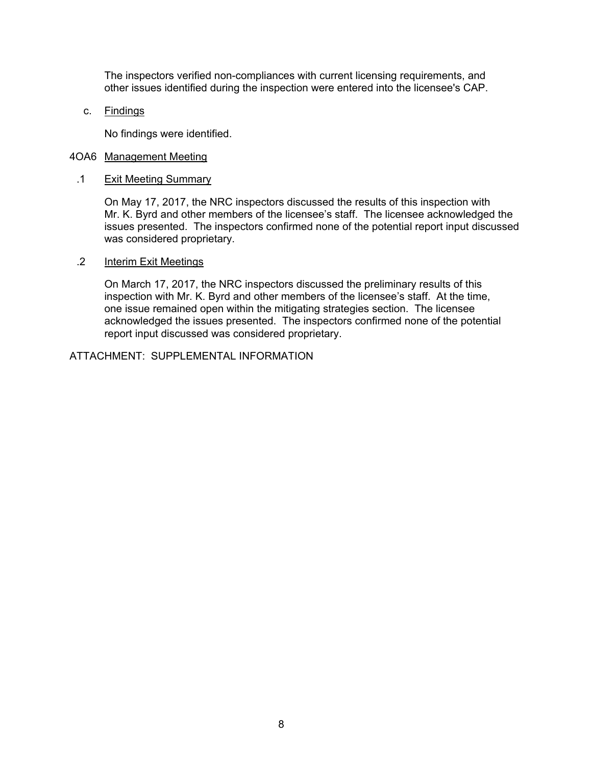The inspectors verified non-compliances with current licensing requirements, and other issues identified during the inspection were entered into the licensee's CAP.

c. Findings

No findings were identified.

### 4OA6 Management Meeting

.1 Exit Meeting Summary

On May 17, 2017, the NRC inspectors discussed the results of this inspection with Mr. K. Byrd and other members of the licensee's staff. The licensee acknowledged the issues presented. The inspectors confirmed none of the potential report input discussed was considered proprietary.

.2 Interim Exit Meetings

On March 17, 2017, the NRC inspectors discussed the preliminary results of this inspection with Mr. K. Byrd and other members of the licensee's staff. At the time, one issue remained open within the mitigating strategies section. The licensee acknowledged the issues presented. The inspectors confirmed none of the potential report input discussed was considered proprietary.

ATTACHMENT: SUPPLEMENTAL INFORMATION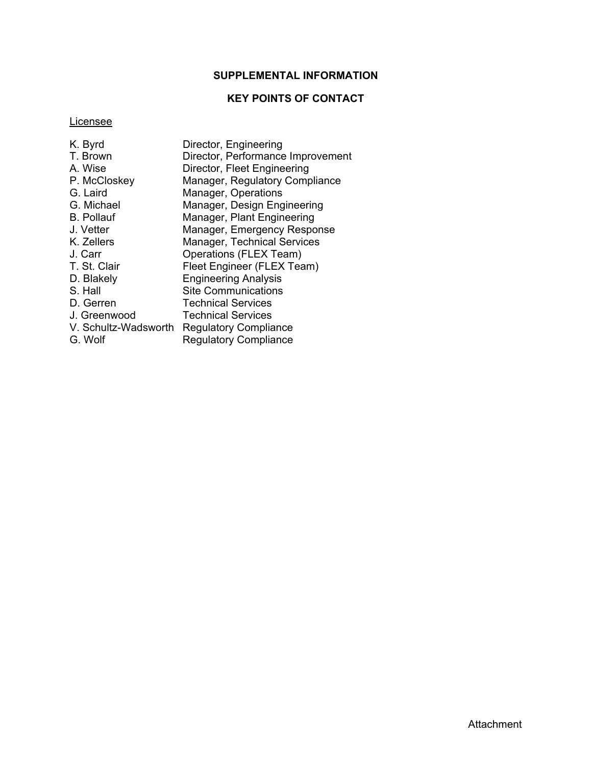## **SUPPLEMENTAL INFORMATION**

## **KEY POINTS OF CONTACT**

## **Licensee**

| K. Byrd              | Director, Engineering              |
|----------------------|------------------------------------|
| T. Brown             | Director, Performance Improvement  |
| A. Wise              | Director, Fleet Engineering        |
| P. McCloskey         | Manager, Regulatory Compliance     |
| G. Laird             | Manager, Operations                |
| G. Michael           | Manager, Design Engineering        |
| <b>B.</b> Pollauf    | Manager, Plant Engineering         |
| J. Vetter            | Manager, Emergency Response        |
| K. Zellers           | <b>Manager, Technical Services</b> |
| J. Carr              | Operations (FLEX Team)             |
| T. St. Clair         | Fleet Engineer (FLEX Team)         |
| D. Blakely           | <b>Engineering Analysis</b>        |
| S. Hall              | <b>Site Communications</b>         |
| D. Gerren            | <b>Technical Services</b>          |
| J. Greenwood         | <b>Technical Services</b>          |
| V. Schultz-Wadsworth | <b>Regulatory Compliance</b>       |
| G. Wolf              | <b>Regulatory Compliance</b>       |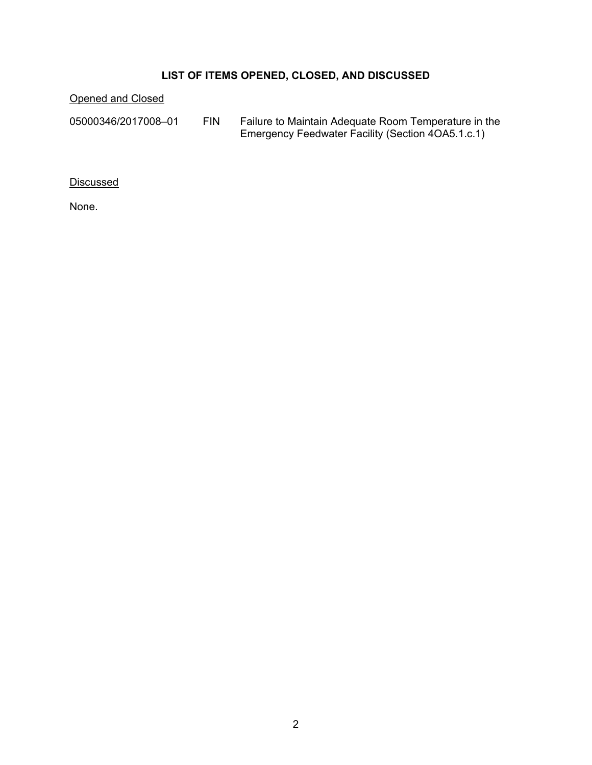# **LIST OF ITEMS OPENED, CLOSED, AND DISCUSSED**

Opened and Closed

05000346/2017008–01 FIN Failure to Maintain Adequate Room Temperature in the Emergency Feedwater Facility (Section 4OA5.1.c.1)

**Discussed** 

None.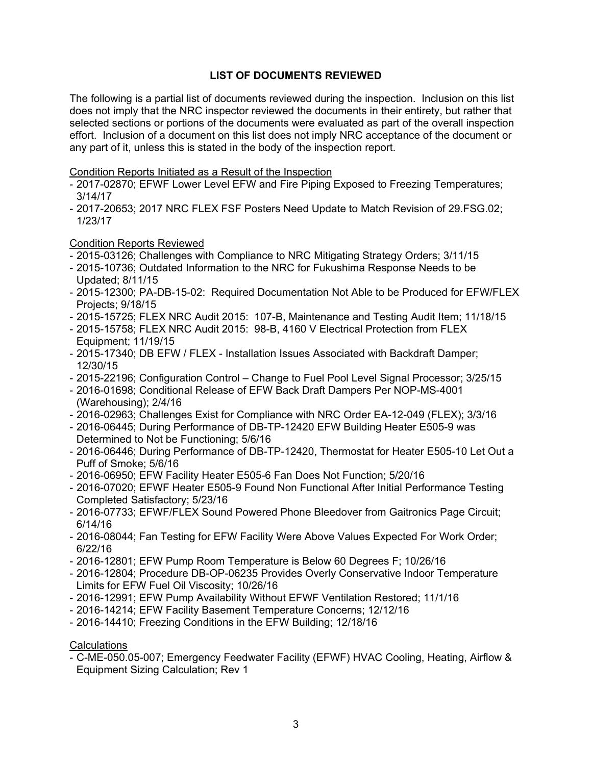## **LIST OF DOCUMENTS REVIEWED**

The following is a partial list of documents reviewed during the inspection. Inclusion on this list does not imply that the NRC inspector reviewed the documents in their entirety, but rather that selected sections or portions of the documents were evaluated as part of the overall inspection effort. Inclusion of a document on this list does not imply NRC acceptance of the document or any part of it, unless this is stated in the body of the inspection report.

### Condition Reports Initiated as a Result of the Inspection

- 2017-02870; EFWF Lower Level EFW and Fire Piping Exposed to Freezing Temperatures; 3/14/17
- 2017-20653; 2017 NRC FLEX FSF Posters Need Update to Match Revision of 29.FSG.02; 1/23/17

### Condition Reports Reviewed

- 2015-03126; Challenges with Compliance to NRC Mitigating Strategy Orders; 3/11/15
- 2015-10736; Outdated Information to the NRC for Fukushima Response Needs to be Updated; 8/11/15
- 2015-12300; PA-DB-15-02: Required Documentation Not Able to be Produced for EFW/FLEX Projects; 9/18/15
- 2015-15725; FLEX NRC Audit 2015: 107-B, Maintenance and Testing Audit Item; 11/18/15
- 2015-15758; FLEX NRC Audit 2015: 98-B, 4160 V Electrical Protection from FLEX Equipment; 11/19/15
- 2015-17340; DB EFW / FLEX Installation Issues Associated with Backdraft Damper; 12/30/15
- 2015-22196; Configuration Control Change to Fuel Pool Level Signal Processor; 3/25/15
- 2016-01698; Conditional Release of EFW Back Draft Dampers Per NOP-MS-4001 (Warehousing); 2/4/16
- 2016-02963; Challenges Exist for Compliance with NRC Order EA-12-049 (FLEX); 3/3/16
- 2016-06445; During Performance of DB-TP-12420 EFW Building Heater E505-9 was Determined to Not be Functioning; 5/6/16
- 2016-06446; During Performance of DB-TP-12420, Thermostat for Heater E505-10 Let Out a Puff of Smoke; 5/6/16
- 2016-06950; EFW Facility Heater E505-6 Fan Does Not Function; 5/20/16
- 2016-07020; EFWF Heater E505-9 Found Non Functional After Initial Performance Testing Completed Satisfactory; 5/23/16
- 2016-07733; EFWF/FLEX Sound Powered Phone Bleedover from Gaitronics Page Circuit; 6/14/16
- 2016-08044; Fan Testing for EFW Facility Were Above Values Expected For Work Order; 6/22/16
- 2016-12801; EFW Pump Room Temperature is Below 60 Degrees F; 10/26/16
- 2016-12804; Procedure DB-OP-06235 Provides Overly Conservative Indoor Temperature Limits for EFW Fuel Oil Viscosity; 10/26/16
- 2016-12991; EFW Pump Availability Without EFWF Ventilation Restored; 11/1/16
- 2016-14214; EFW Facility Basement Temperature Concerns; 12/12/16
- 2016-14410; Freezing Conditions in the EFW Building; 12/18/16

### **Calculations**

- C-ME-050.05-007; Emergency Feedwater Facility (EFWF) HVAC Cooling, Heating, Airflow & Equipment Sizing Calculation; Rev 1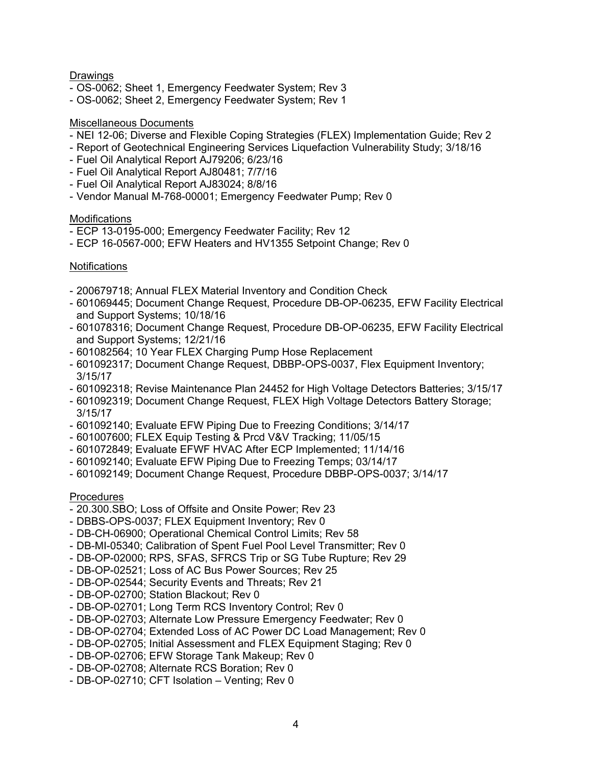## **Drawings**

- OS-0062; Sheet 1, Emergency Feedwater System; Rev 3
- OS-0062; Sheet 2, Emergency Feedwater System; Rev 1

### Miscellaneous Documents

- NEI 12-06; Diverse and Flexible Coping Strategies (FLEX) Implementation Guide; Rev 2
- Report of Geotechnical Engineering Services Liquefaction Vulnerability Study; 3/18/16
- Fuel Oil Analytical Report AJ79206; 6/23/16
- Fuel Oil Analytical Report AJ80481; 7/7/16
- Fuel Oil Analytical Report AJ83024; 8/8/16
- Vendor Manual M-768-00001; Emergency Feedwater Pump; Rev 0

### Modifications

- ECP 13-0195-000; Emergency Feedwater Facility; Rev 12
- ECP 16-0567-000; EFW Heaters and HV1355 Setpoint Change; Rev 0

## **Notifications**

- 200679718; Annual FLEX Material Inventory and Condition Check
- 601069445; Document Change Request, Procedure DB-OP-06235, EFW Facility Electrical and Support Systems; 10/18/16
- 601078316; Document Change Request, Procedure DB-OP-06235, EFW Facility Electrical and Support Systems; 12/21/16
- 601082564; 10 Year FLEX Charging Pump Hose Replacement
- 601092317; Document Change Request, DBBP-OPS-0037, Flex Equipment Inventory; 3/15/17
- 601092318; Revise Maintenance Plan 24452 for High Voltage Detectors Batteries; 3/15/17
- 601092319; Document Change Request, FLEX High Voltage Detectors Battery Storage; 3/15/17
- 601092140; Evaluate EFW Piping Due to Freezing Conditions; 3/14/17
- 601007600; FLEX Equip Testing & Prcd V&V Tracking; 11/05/15
- 601072849; Evaluate EFWF HVAC After ECP Implemented; 11/14/16
- 601092140; Evaluate EFW Piping Due to Freezing Temps; 03/14/17
- 601092149; Document Change Request, Procedure DBBP-OPS-0037; 3/14/17

### **Procedures**

- 20.300.SBO; Loss of Offsite and Onsite Power; Rev 23
- DBBS-OPS-0037; FLEX Equipment Inventory; Rev 0
- DB-CH-06900; Operational Chemical Control Limits; Rev 58
- DB-MI-05340; Calibration of Spent Fuel Pool Level Transmitter; Rev 0
- DB-OP-02000; RPS, SFAS, SFRCS Trip or SG Tube Rupture; Rev 29
- DB-OP-02521; Loss of AC Bus Power Sources; Rev 25
- DB-OP-02544; Security Events and Threats; Rev 21
- DB-OP-02700; Station Blackout; Rev 0
- DB-OP-02701; Long Term RCS Inventory Control; Rev 0
- DB-OP-02703; Alternate Low Pressure Emergency Feedwater; Rev 0
- DB-OP-02704; Extended Loss of AC Power DC Load Management; Rev 0
- DB-OP-02705; Initial Assessment and FLEX Equipment Staging; Rev 0
- DB-OP-02706; EFW Storage Tank Makeup; Rev 0
- DB-OP-02708; Alternate RCS Boration; Rev 0
- DB-OP-02710; CFT Isolation Venting; Rev 0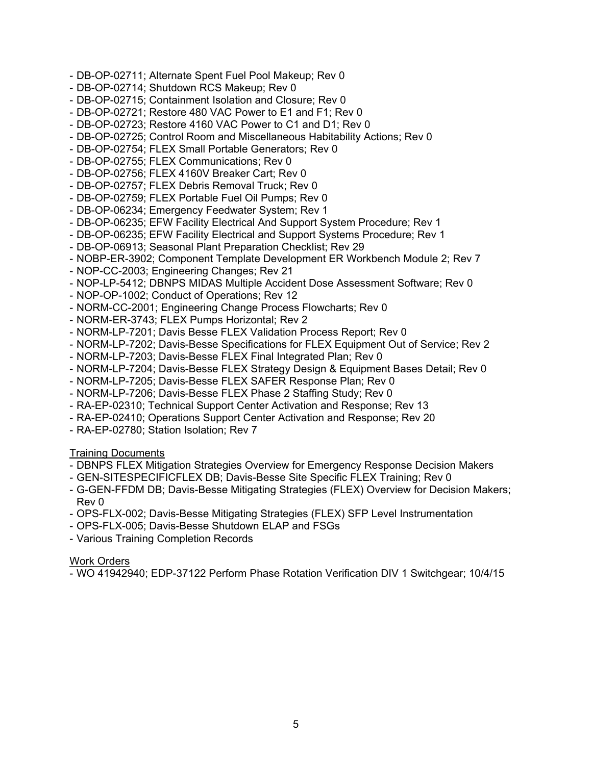- DB-OP-02711; Alternate Spent Fuel Pool Makeup; Rev 0
- DB-OP-02714; Shutdown RCS Makeup; Rev 0
- DB-OP-02715; Containment Isolation and Closure; Rev 0
- DB-OP-02721; Restore 480 VAC Power to E1 and F1; Rev 0
- DB-OP-02723; Restore 4160 VAC Power to C1 and D1; Rev 0
- DB-OP-02725; Control Room and Miscellaneous Habitability Actions; Rev 0
- DB-OP-02754; FLEX Small Portable Generators; Rev 0
- DB-OP-02755; FLEX Communications; Rev 0
- DB-OP-02756; FLEX 4160V Breaker Cart; Rev 0
- DB-OP-02757; FLEX Debris Removal Truck; Rev 0
- DB-OP-02759; FLEX Portable Fuel Oil Pumps; Rev 0
- DB-OP-06234; Emergency Feedwater System; Rev 1
- DB-OP-06235; EFW Facility Electrical And Support System Procedure; Rev 1
- DB-OP-06235; EFW Facility Electrical and Support Systems Procedure; Rev 1
- DB-OP-06913; Seasonal Plant Preparation Checklist; Rev 29
- NOBP-ER-3902; Component Template Development ER Workbench Module 2; Rev 7
- NOP-CC-2003; Engineering Changes; Rev 21
- NOP-LP-5412; DBNPS MIDAS Multiple Accident Dose Assessment Software; Rev 0
- NOP-OP-1002; Conduct of Operations; Rev 12
- NORM-CC-2001; Engineering Change Process Flowcharts; Rev 0
- NORM-ER-3743; FLEX Pumps Horizontal; Rev 2
- NORM-LP-7201; Davis Besse FLEX Validation Process Report; Rev 0
- NORM-LP-7202; Davis-Besse Specifications for FLEX Equipment Out of Service; Rev 2
- NORM-LP-7203; Davis-Besse FLEX Final Integrated Plan; Rev 0
- NORM-LP-7204; Davis-Besse FLEX Strategy Design & Equipment Bases Detail; Rev 0
- NORM-LP-7205; Davis-Besse FLEX SAFER Response Plan; Rev 0
- NORM-LP-7206; Davis-Besse FLEX Phase 2 Staffing Study; Rev 0
- RA-EP-02310; Technical Support Center Activation and Response; Rev 13
- RA-EP-02410; Operations Support Center Activation and Response; Rev 20
- RA-EP-02780; Station Isolation; Rev 7

## Training Documents

- DBNPS FLEX Mitigation Strategies Overview for Emergency Response Decision Makers
- GEN-SITESPECIFICFLEX DB; Davis-Besse Site Specific FLEX Training; Rev 0
- G-GEN-FFDM DB; Davis-Besse Mitigating Strategies (FLEX) Overview for Decision Makers; Rev 0
- OPS-FLX-002; Davis-Besse Mitigating Strategies (FLEX) SFP Level Instrumentation
- OPS-FLX-005; Davis-Besse Shutdown ELAP and FSGs
- Various Training Completion Records

### Work Orders

- WO 41942940; EDP-37122 Perform Phase Rotation Verification DIV 1 Switchgear; 10/4/15